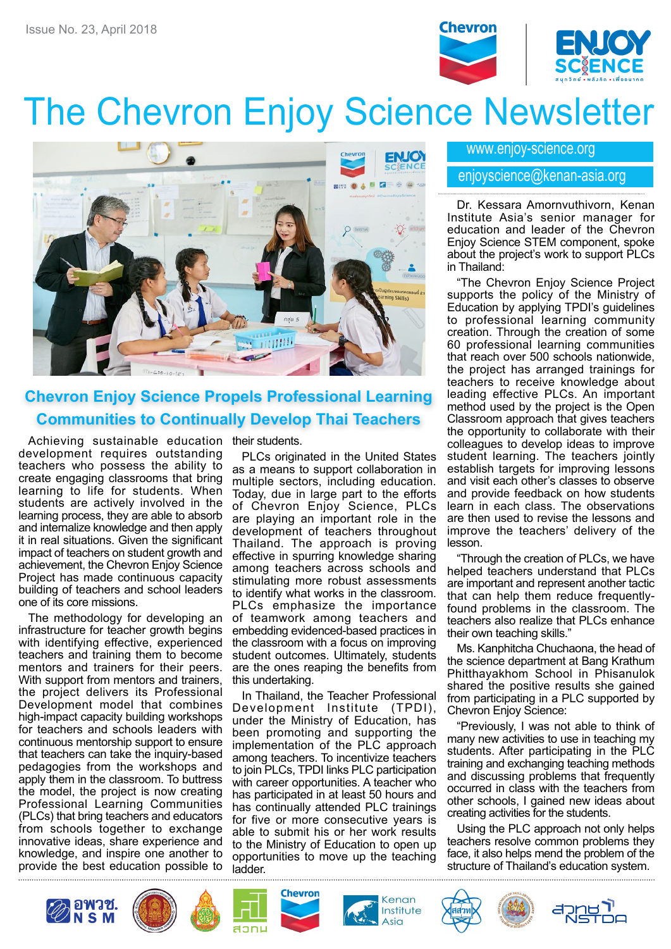

# The Chevron Enjoy Science Newsletter



## **Chevron Enjoy Science Propels Professional Learning Communities to Continually Develop Thai Teachers**

Achieving sustainable education their students. development requires outstanding teachers who possess the ability to create engaging classrooms that bring learning to life for students. When students are actively involved in the learning process, they are able to absorb and internalize knowledge and then apply it in real situations. Given the significant impact of teachers on student growth and achievement, the Chevron Enjoy Science Project has made continuous capacity building of teachers and school leaders one of its core missions.

The methodology for developing an infrastructure for teacher growth begins with identifying effective, experienced teachers and training them to become mentors and trainers for their peers. With support from mentors and trainers, the project delivers its Professional Development model that combines high-impact capacity building workshops for teachers and schools leaders with continuous mentorship support to ensure that teachers can take the inquiry-based pedagogies from the workshops and apply them in the classroom. To buttress the model, the project is now creating Professional Learning Communities (PLCs) that bring teachers and educators from schools together to exchange innovative ideas, share experience and knowledge, and inspire one another to provide the best education possible to

PLCs originated in the United States as a means to support collaboration in multiple sectors, including education. Today, due in large part to the efforts of Chevron Enjoy Science, PLCs are playing an important role in the development of teachers throughout Thailand. The approach is proving effective in spurring knowledge sharing among teachers across schools and stimulating more robust assessments to identify what works in the classroom. PLCs emphasize the importance of teamwork among teachers and embedding evidenced-based practices in the classroom with a focus on improving student outcomes. Ultimately, students are the ones reaping the benefits from this undertaking.

In Thailand, the Teacher Professional evelopment Institute (TPDI), Development Institute under the Ministry of Education, has been promoting and supporting the implementation of the PLC approach among teachers. To incentivize teachers to join PLCs, TPDI links PLC participation with career opportunities. A teacher who has participated in at least 50 hours and has continually attended PLC trainings for five or more consecutive years is able to submit his or her work results to the Ministry of Education to open up opportunities to move up the teaching ladder.

#### www.enjoy-science.org

#### enjoyscience@kenan-asia.org

Dr. Kessara Amornvuthivorn, Kenan Institute Asia's senior manager for education and leader of the Chevron Enjoy Science STEM component, spoke about the project's work to support PLCs in Thailand:

"The Chevron Enjoy Science Project supports the policy of the Ministry of Education by applying TPDI's guidelines to professional learning community creation. Through the creation of some 60 professional learning communities that reach over 500 schools nationwide, the project has arranged trainings for teachers to receive knowledge about leading effective PLCs. An important method used by the project is the Open Classroom approach that gives teachers the opportunity to collaborate with their colleagues to develop ideas to improve student learning. The teachers jointly establish targets for improving lessons and visit each other's classes to observe and provide feedback on how students learn in each class. The observations are then used to revise the lessons and improve the teachers' delivery of the lesson.

"Through the creation of PLCs, we have helped teachers understand that PLCs are important and represent another tactic that can help them reduce frequentlyfound problems in the classroom. The teachers also realize that PLCs enhance their own teaching skills."

Ms. Kanphitcha Chuchaona, the head of the science department at Bang Krathum Phitthayakhom School in Phisanulok shared the positive results she gained from participating in a PLC supported by Chevron Enjoy Science:

"Previously, I was not able to think of many new activities to use in teaching my students. After participating in the PLC training and exchanging teaching methods and discussing problems that frequently occurred in class with the teachers from other schools, I gained new ideas about creating activities for the students.

Using the PLC approach not only helps teachers resolve common problems they face, it also helps mend the problem of the structure of Thailand's education system.